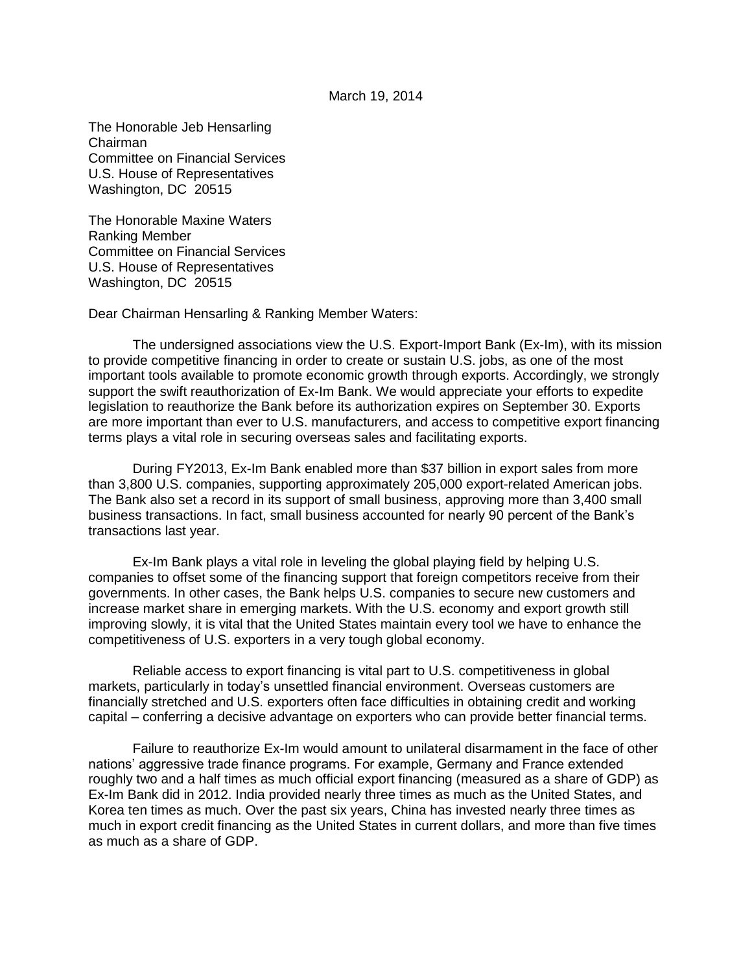## March 19, 2014

The Honorable Jeb Hensarling Chairman Committee on Financial Services U.S. House of Representatives Washington, DC 20515

The Honorable Maxine Waters Ranking Member Committee on Financial Services U.S. House of Representatives Washington, DC 20515

Dear Chairman Hensarling & Ranking Member Waters:

The undersigned associations view the U.S. Export-Import Bank (Ex-Im), with its mission to provide competitive financing in order to create or sustain U.S. jobs, as one of the most important tools available to promote economic growth through exports. Accordingly, we strongly support the swift reauthorization of Ex-Im Bank. We would appreciate your efforts to expedite legislation to reauthorize the Bank before its authorization expires on September 30. Exports are more important than ever to U.S. manufacturers, and access to competitive export financing terms plays a vital role in securing overseas sales and facilitating exports.

During FY2013, Ex-Im Bank enabled more than \$37 billion in export sales from more than 3,800 U.S. companies, supporting approximately 205,000 export-related American jobs. The Bank also set a record in its support of small business, approving more than 3,400 small business transactions. In fact, small business accounted for nearly 90 percent of the Bank's transactions last year.

Ex-Im Bank plays a vital role in leveling the global playing field by helping U.S. companies to offset some of the financing support that foreign competitors receive from their governments. In other cases, the Bank helps U.S. companies to secure new customers and increase market share in emerging markets. With the U.S. economy and export growth still improving slowly, it is vital that the United States maintain every tool we have to enhance the competitiveness of U.S. exporters in a very tough global economy.

Reliable access to export financing is vital part to U.S. competitiveness in global markets, particularly in today's unsettled financial environment. Overseas customers are financially stretched and U.S. exporters often face difficulties in obtaining credit and working capital – conferring a decisive advantage on exporters who can provide better financial terms.

Failure to reauthorize Ex-Im would amount to unilateral disarmament in the face of other nations' aggressive trade finance programs. For example, Germany and France extended roughly two and a half times as much official export financing (measured as a share of GDP) as Ex-Im Bank did in 2012. India provided nearly three times as much as the United States, and Korea ten times as much. Over the past six years, China has invested nearly three times as much in export credit financing as the United States in current dollars, and more than five times as much as a share of GDP.